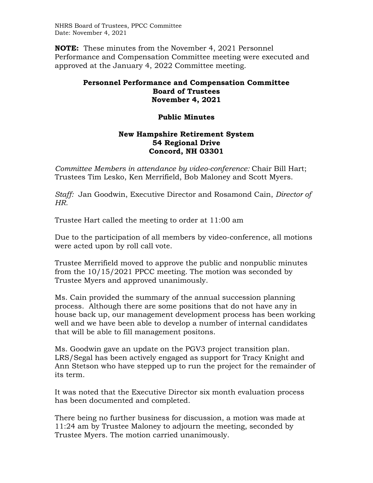NHRS Board of Trustees, PPCC Committee Date: November 4, 2021

**NOTE:** These minutes from the November 4, 2021 Personnel Performance and Compensation Committee meeting were executed and approved at the January 4, 2022 Committee meeting.

## **Personnel Performance and Compensation Committee Board of Trustees November 4, 2021**

## **Public Minutes**

## **New Hampshire Retirement System 54 Regional Drive Concord, NH 03301**

*Committee Members in attendance by video-conference:* Chair Bill Hart; Trustees Tim Lesko, Ken Merrifield, Bob Maloney and Scott Myers.

*Staff:* Jan Goodwin, Executive Director and Rosamond Cain, *Director of HR.*

Trustee Hart called the meeting to order at 11:00 am

Due to the participation of all members by video-conference, all motions were acted upon by roll call vote.

Trustee Merrifield moved to approve the public and nonpublic minutes from the 10/15/2021 PPCC meeting. The motion was seconded by Trustee Myers and approved unanimously.

Ms. Cain provided the summary of the annual succession planning process. Although there are some positions that do not have any in house back up, our management development process has been working well and we have been able to develop a number of internal candidates that will be able to fill management positons.

Ms. Goodwin gave an update on the PGV3 project transition plan. LRS/Segal has been actively engaged as support for Tracy Knight and Ann Stetson who have stepped up to run the project for the remainder of its term.

It was noted that the Executive Director six month evaluation process has been documented and completed.

There being no further business for discussion, a motion was made at 11:24 am by Trustee Maloney to adjourn the meeting, seconded by Trustee Myers. The motion carried unanimously.